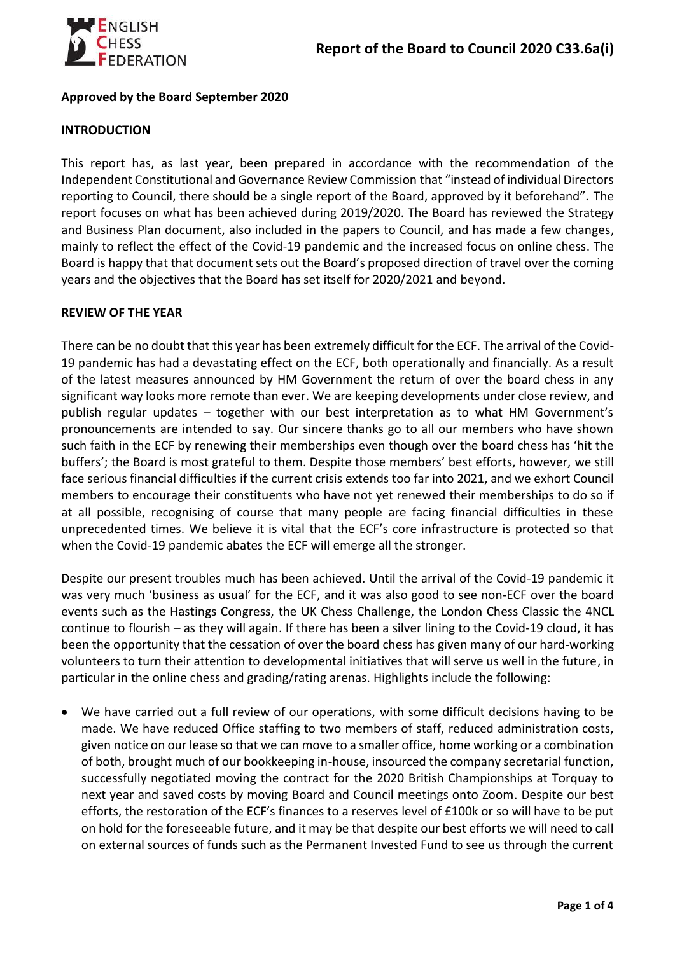

## **Approved by the Board September 2020**

## **INTRODUCTION**

This report has, as last year, been prepared in accordance with the recommendation of the Independent Constitutional and Governance Review Commission that "instead of individual Directors reporting to Council, there should be a single report of the Board, approved by it beforehand". The report focuses on what has been achieved during 2019/2020. The Board has reviewed the Strategy and Business Plan document, also included in the papers to Council, and has made a few changes, mainly to reflect the effect of the Covid-19 pandemic and the increased focus on online chess. The Board is happy that that document sets out the Board's proposed direction of travel over the coming years and the objectives that the Board has set itself for 2020/2021 and beyond.

## **REVIEW OF THE YEAR**

There can be no doubt that this year has been extremely difficult for the ECF. The arrival of the Covid-19 pandemic has had a devastating effect on the ECF, both operationally and financially. As a result of the latest measures announced by HM Government the return of over the board chess in any significant way looks more remote than ever. We are keeping developments under close review, and publish regular updates – together with our best interpretation as to what HM Government's pronouncements are intended to say. Our sincere thanks go to all our members who have shown such faith in the ECF by renewing their memberships even though over the board chess has 'hit the buffers'; the Board is most grateful to them. Despite those members' best efforts, however, we still face serious financial difficulties if the current crisis extends too far into 2021, and we exhort Council members to encourage their constituents who have not yet renewed their memberships to do so if at all possible, recognising of course that many people are facing financial difficulties in these unprecedented times. We believe it is vital that the ECF's core infrastructure is protected so that when the Covid-19 pandemic abates the ECF will emerge all the stronger.

Despite our present troubles much has been achieved. Until the arrival of the Covid-19 pandemic it was very much 'business as usual' for the ECF, and it was also good to see non-ECF over the board events such as the Hastings Congress, the UK Chess Challenge, the London Chess Classic the 4NCL continue to flourish – as they will again. If there has been a silver lining to the Covid-19 cloud, it has been the opportunity that the cessation of over the board chess has given many of our hard-working volunteers to turn their attention to developmental initiatives that will serve us well in the future, in particular in the online chess and grading/rating arenas. Highlights include the following:

• We have carried out a full review of our operations, with some difficult decisions having to be made. We have reduced Office staffing to two members of staff, reduced administration costs, given notice on our lease so that we can move to a smaller office, home working or a combination of both, brought much of our bookkeeping in-house, insourced the company secretarial function, successfully negotiated moving the contract for the 2020 British Championships at Torquay to next year and saved costs by moving Board and Council meetings onto Zoom. Despite our best efforts, the restoration of the ECF's finances to a reserves level of £100k or so will have to be put on hold for the foreseeable future, and it may be that despite our best efforts we will need to call on external sources of funds such as the Permanent Invested Fund to see us through the current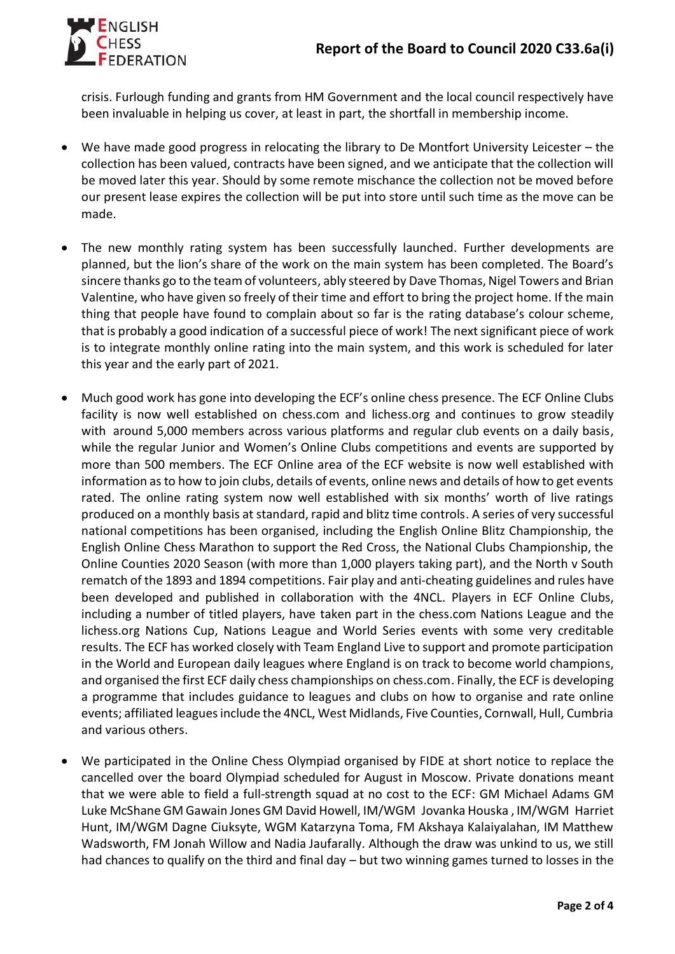

crisis. Furlough funding and grants from HM Government and the local council respectively have been invaluable in helping us cover, at least in part, the shortfall in membership income.

- We have made good progress in relocating the library to De Montfort University Leicester the collection has been valued, contracts have been signed, and we anticipate that the collection will be moved later this year. Should by some remote mischance the collection not be moved before our present lease expires the collection will be put into store until such time as the move can be made.
- The new monthly rating system has been successfully launched. Further developments are planned, but the lion's share of the work on the main system has been completed. The Board's sincere thanks go to the team of volunteers, ably steered by Dave Thomas, Nigel Towers and Brian Valentine, who have given so freely of their time and effort to bring the project home. If the main thing that people have found to complain about so far is the rating database's colour scheme, that is probably a good indication of a successful piece of work! The next significant piece of work is to integrate monthly online rating into the main system, and this work is scheduled for later this year and the early part of 2021.
- Much good work has gone into developing the ECF's online chess presence. The ECF Online Clubs facility is now well established on chess.com and lichess.org and continues to grow steadily with around 5,000 members across various platforms and regular club events on a daily basis, while the regular Junior and Women's Online Clubs competitions and events are supported by more than 500 members. The ECF Online area of the ECF website is now well established with information as to how to join clubs, details of events, online news and details of how to get events rated. The online rating system now well established with six months' worth of live ratings produced on a monthly basis at standard, rapid and blitz time controls. A series of very successful national competitions has been organised, including the English Online Blitz Championship, the English Online Chess Marathon to support the Red Cross, the National Clubs Championship, the Online Counties 2020 Season (with more than 1,000 players taking part), and the North v South rematch of the 1893 and 1894 competitions. Fair play and anti-cheating guidelines and rules have been developed and published in collaboration with the 4NCL. Players in ECF Online Clubs, including a number of titled players, have taken part in the chess.com Nations League and the lichess.org Nations Cup, Nations League and World Series events with some very creditable results. The ECF has worked closely with Team England Live to support and promote participation in the World and European daily leagues where England is on track to become world champions, and organised the first ECF daily chess championships on chess.com. Finally, the ECF is developing a programme that includes guidance to leagues and clubs on how to organise and rate online events; affiliated leagues include the 4NCL, West Midlands, Five Counties, Cornwall, Hull, Cumbria and various others.
- We participated in the Online Chess Olympiad organised by FIDE at short notice to replace the cancelled over the board Olympiad scheduled for August in Moscow. Private donations meant that we were able to field a full-strength squad at no cost to the ECF: GM Michael Adams GM Luke McShane GM Gawain Jones GM David Howell, IM/WGM Jovanka Houska , IM/WGM Harriet Hunt, IM/WGM Dagne Ciuksyte, WGM Katarzyna Toma, FM Akshaya Kalaiyalahan, IM Matthew Wadsworth, FM Jonah Willow and Nadia Jaufarally. Although the draw was unkind to us, we still had chances to qualify on the third and final day – but two winning games turned to losses in the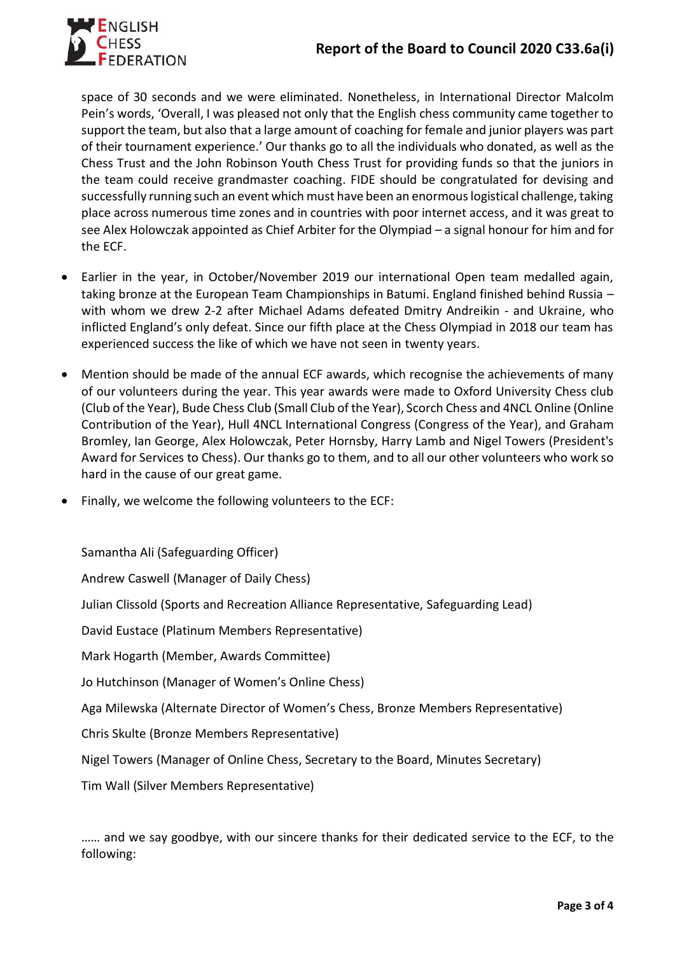

space of 30 seconds and we were eliminated. Nonetheless, in International Director Malcolm Pein's words, 'Overall, I was pleased not only that the English chess community came together to support the team, but also that a large amount of coaching for female and junior players was part of their tournament experience.' Our thanks go to all the individuals who donated, as well as the Chess Trust and the John Robinson Youth Chess Trust for providing funds so that the juniors in the team could receive grandmaster coaching. FIDE should be congratulated for devising and successfully running such an event which must have been an enormous logistical challenge, taking place across numerous time zones and in countries with poor internet access, and it was great to see Alex Holowczak appointed as Chief Arbiter for the Olympiad – a signal honour for him and for the ECF.

- Earlier in the year, in October/November 2019 our international Open team medalled again, taking bronze at the European Team Championships in Batumi. England finished behind Russia – with whom we drew 2-2 after Michael Adams defeated Dmitry Andreikin - and Ukraine, who inflicted England's only defeat. Since our fifth place at the Chess Olympiad in 2018 our team has experienced success the like of which we have not seen in twenty years.
- Mention should be made of the annual ECF awards, which recognise the achievements of many of our volunteers during the year. This year awards were made to Oxford University Chess club (Club of the Year), Bude Chess Club (Small Club of the Year), Scorch Chess and 4NCL Online (Online Contribution of the Year), Hull 4NCL International Congress (Congress of the Year), and Graham Bromley, Ian George, Alex Holowczak, Peter Hornsby, Harry Lamb and Nigel Towers (President's Award for Services to Chess). Our thanks go to them, and to all our other volunteers who work so hard in the cause of our great game.
- Finally, we welcome the following volunteers to the ECF:

Samantha Ali (Safeguarding Officer)

Andrew Caswell (Manager of Daily Chess)

Julian Clissold (Sports and Recreation Alliance Representative, Safeguarding Lead)

David Eustace (Platinum Members Representative)

Mark Hogarth (Member, Awards Committee)

Jo Hutchinson (Manager of Women's Online Chess)

Aga Milewska (Alternate Director of Women's Chess, Bronze Members Representative)

Chris Skulte (Bronze Members Representative)

Nigel Towers (Manager of Online Chess, Secretary to the Board, Minutes Secretary)

Tim Wall (Silver Members Representative)

…… and we say goodbye, with our sincere thanks for their dedicated service to the ECF, to the following: